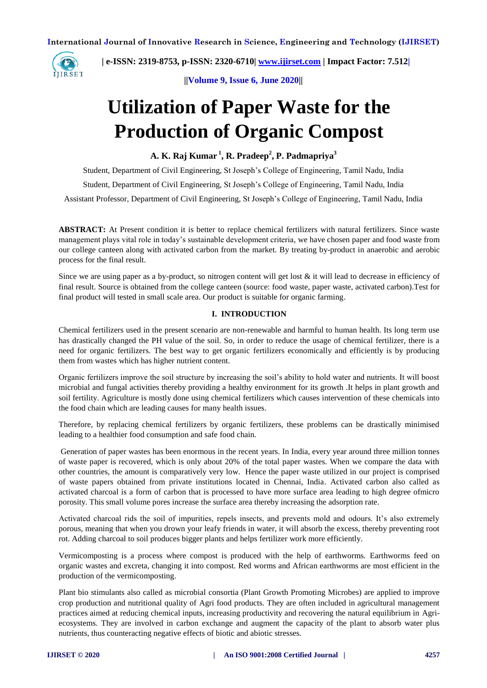

 **| e-ISSN: 2319-8753, p-ISSN: 2320-6710[| www.ijirset.com](http://www.ijirset.com/) | Impact Factor: 7.512|**

**||Volume 9, Issue 6, June 2020||** 

# **Utilization of Paper Waste for the Production of Organic Compost**

**A. K. Raj Kumar <sup>1</sup> , R. Pradeep<sup>2</sup> , P. Padmapriya<sup>3</sup>**

Student, Department of Civil Engineering, St Joseph's College of Engineering, Tamil Nadu, India

Student, Department of Civil Engineering, St Joseph's College of Engineering, Tamil Nadu, India

Assistant Professor, Department of Civil Engineering, St Joseph's College of Engineering, Tamil Nadu, India

**ABSTRACT:** At Present condition it is better to replace chemical fertilizers with natural fertilizers. Since waste management plays vital role in today's sustainable development criteria, we have chosen paper and food waste from our college canteen along with activated carbon from the market. By treating by-product in anaerobic and aerobic process for the final result.

Since we are using paper as a by-product, so nitrogen content will get lost  $\&$  it will lead to decrease in efficiency of final result. Source is obtained from the college canteen (source: food waste, paper waste, activated carbon).Test for final product will tested in small scale area. Our product is suitable for organic farming.

#### **I. INTRODUCTION**

Chemical fertilizers used in the present scenario are non-renewable and harmful to human health. Its long term use has drastically changed the PH value of the soil. So, in order to reduce the usage of chemical fertilizer, there is a need for organic fertilizers. The best way to get organic fertilizers economically and efficiently is by producing them from wastes which has higher nutrient content.

Organic fertilizers improve the soil structure by increasing the soil's ability to hold water and nutrients. It will boost microbial and fungal activities thereby providing a healthy environment for its growth .It helps in plant growth and soil fertility. Agriculture is mostly done using chemical fertilizers which causes intervention of these chemicals into the food chain which are leading causes for many health issues.

Therefore, by replacing chemical fertilizers by organic fertilizers, these problems can be drastically minimised leading to a healthier food consumption and safe food chain.

Generation of paper wastes has been enormous in the recent years. In India, every year around three million tonnes of waste paper is recovered, which is only about 20% of the total paper wastes. When we compare the data with other countries, the amount is comparatively very low. Hence the paper waste utilized in our project is comprised of waste papers obtained from private institutions located in Chennai, India. Activated carbon also called as activated charcoal is a form of carbon that is processed to have more surface area leading to high degree ofmicro porosity. This small volume pores increase the surface area thereby increasing the adsorption rate.

Activated charcoal rids the soil of impurities, repels insects, and prevents mold and odours. It's also extremely porous, meaning that when you drown your leafy friends in water, it will absorb the excess, thereby preventing root rot. Adding charcoal to soil produces bigger plants and helps fertilizer work more efficiently.

Vermicomposting is a process where compost is produced with the help of earthworms. Earthworms feed on organic wastes and excreta, changing it into compost. Red worms and African earthworms are most efficient in the production of the vermicomposting.

Plant bio stimulants also called as microbial consortia (Plant Growth Promoting Microbes) are applied to improve crop production and nutritional quality of Agri food products. They are often included in agricultural management practices aimed at reducing chemical inputs, increasing productivity and recovering the natural equilibrium in Agriecosystems. They are involved in carbon exchange and augment the capacity of the plant to absorb water plus nutrients, thus counteracting negative effects of biotic and abiotic stresses.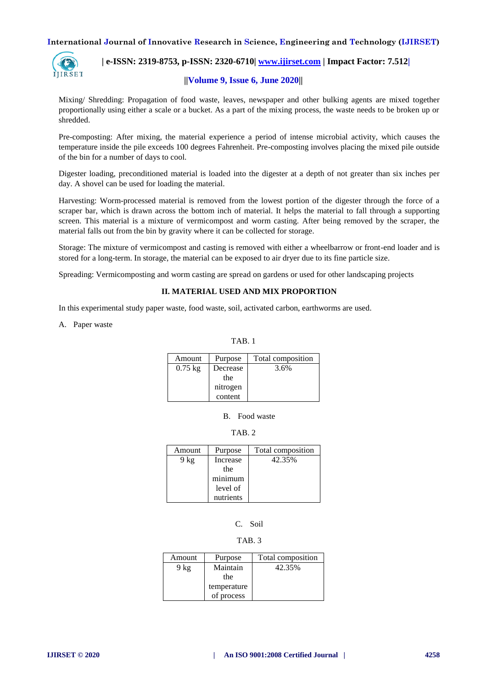

# **| e-ISSN: 2319-8753, p-ISSN: 2320-6710[| www.ijirset.com](http://www.ijirset.com/) | Impact Factor: 7.512| ||Volume 9, Issue 6, June 2020||**

Mixing/ Shredding: Propagation of food waste, leaves, newspaper and other bulking agents are mixed together proportionally using either a scale or a bucket. As a part of the mixing process, the waste needs to be broken up or shredded.

Pre-composting: After mixing, the material experience a period of intense microbial activity, which causes the temperature inside the pile exceeds 100 degrees Fahrenheit. Pre-composting involves placing the mixed pile outside of the bin for a number of days to cool.

Digester loading, preconditioned material is loaded into the digester at a depth of not greater than six inches per day. A shovel can be used for loading the material.

Harvesting: Worm-processed material is removed from the lowest portion of the digester through the force of a scraper bar, which is drawn across the bottom inch of material. It helps the material to fall through a supporting screen. This material is a mixture of vermicompost and worm casting. After being removed by the scraper, the material falls out from the bin by gravity where it can be collected for storage.

Storage: The mixture of vermicompost and casting is removed with either a wheelbarrow or front-end loader and is stored for a long-term. In storage, the material can be exposed to air dryer due to its fine particle size.

Spreading: Vermicomposting and worm casting are spread on gardens or used for other landscaping projects

#### **II. MATERIAL USED AND MIX PROPORTION**

In this experimental study paper waste, food waste, soil, activated carbon, earthworms are used.

A. Paper waste

TAB. 1

| Amount    | Purpose             | Total composition |
|-----------|---------------------|-------------------|
| $0.75$ kg | Decrease<br>the     | 3.6%              |
|           | nitrogen<br>content |                   |

B. Food waste

TAB. 2

| Amount | Purpose   | Total composition |
|--------|-----------|-------------------|
| 9 kg   | Increase  | 42.35%            |
|        | the       |                   |
|        | minimum   |                   |
|        | level of  |                   |
|        | nutrients |                   |

# C. Soil

#### TAB. 3

| Amount | Purpose     | Total composition |
|--------|-------------|-------------------|
| $9$ kg | Maintain    | 42.35%            |
|        | the         |                   |
|        | temperature |                   |
|        | of process  |                   |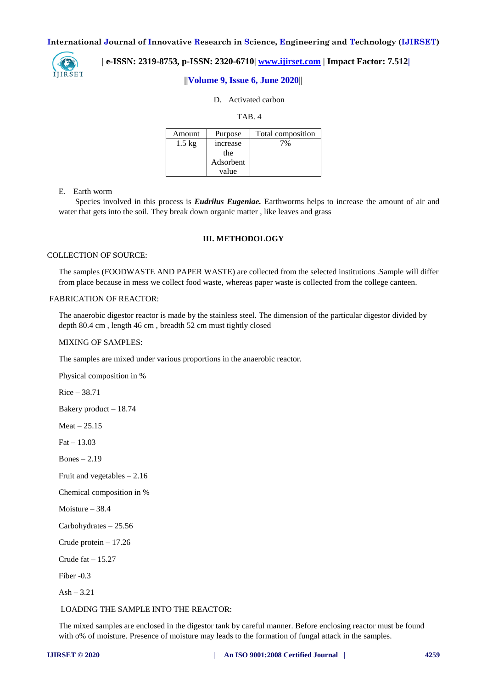

### **| e-ISSN: 2319-8753, p-ISSN: 2320-6710[| www.ijirset.com](http://www.ijirset.com/) | Impact Factor: 7.512|**

#### **||Volume 9, Issue 6, June 2020||**

#### D. Activated carbon

TAB. 4

| Amount           | Purpose        | Total composition |
|------------------|----------------|-------------------|
| $1.5 \text{ kg}$ | <i>ncrease</i> | 7%                |
|                  | the            |                   |
|                  | Adsorbent      |                   |
|                  | value          |                   |

#### E. Earth worm

 Species involved in this process is *Eudrilus Eugeniae.* Earthworms helps to increase the amount of air and water that gets into the soil. They break down organic matter , like leaves and grass

#### **III. METHODOLOGY**

#### COLLECTION OF SOURCE:

The samples (FOODWASTE AND PAPER WASTE) are collected from the selected institutions .Sample will differ from place because in mess we collect food waste, whereas paper waste is collected from the college canteen.

#### FABRICATION OF REACTOR:

The anaerobic digestor reactor is made by the stainless steel. The dimension of the particular digestor divided by depth 80.4 cm , length 46 cm , breadth 52 cm must tightly closed

#### MIXING OF SAMPLES:

The samples are mixed under various proportions in the anaerobic reactor.

Physical composition in %

Rice – 38.71

Bakery product – 18.74

 $Mean - 25.15$ 

 $Fat - 13.03$ 

Bones – 2.19

Fruit and vegetables – 2.16

Chemical composition in %

Moisture – 38.4

Carbohydrates – 25.56

Crude protein – 17.26

Crude  $fat - 15.27$ 

Fiber -0.3

 $Ash - 3.21$ 

LOADING THE SAMPLE INTO THE REACTOR:

The mixed samples are enclosed in the digestor tank by careful manner. Before enclosing reactor must be found with o% of moisture. Presence of moisture may leads to the formation of fungal attack in the samples.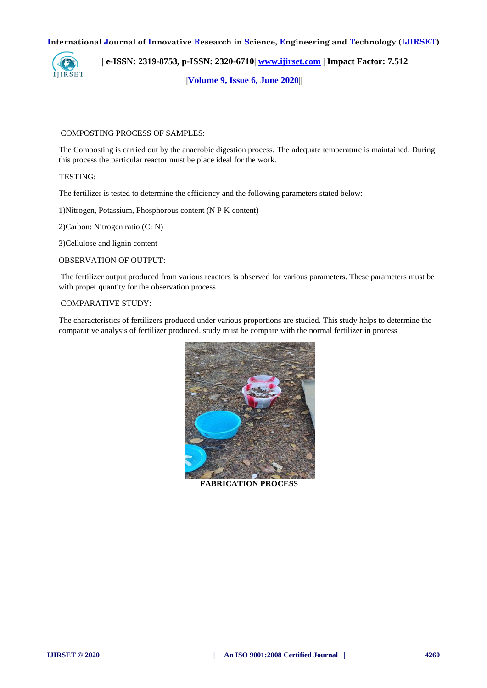

 **| e-ISSN: 2319-8753, p-ISSN: 2320-6710[| www.ijirset.com](http://www.ijirset.com/) | Impact Factor: 7.512|**

**||Volume 9, Issue 6, June 2020||** 

#### COMPOSTING PROCESS OF SAMPLES:

The Composting is carried out by the anaerobic digestion process. The adequate temperature is maintained. During this process the particular reactor must be place ideal for the work.

TESTING:

The fertilizer is tested to determine the efficiency and the following parameters stated below:

1)Nitrogen, Potassium, Phosphorous content (N P K content)

2)Carbon: Nitrogen ratio (C: N)

3)Cellulose and lignin content

OBSERVATION OF OUTPUT:

The fertilizer output produced from various reactors is observed for various parameters. These parameters must be with proper quantity for the observation process

#### COMPARATIVE STUDY:

The characteristics of fertilizers produced under various proportions are studied. This study helps to determine the comparative analysis of fertilizer produced. study must be compare with the normal fertilizer in process



**FABRICATION PROCESS**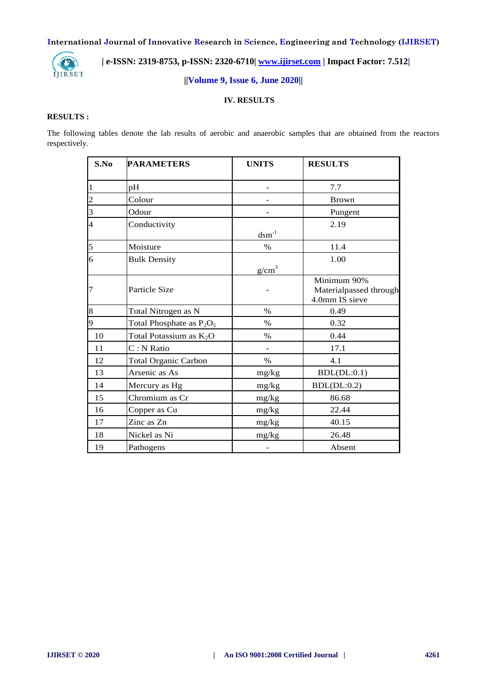

# **| e-ISSN: 2319-8753, p-ISSN: 2320-6710[| www.ijirset.com](http://www.ijirset.com/) | Impact Factor: 7.512|**

# **||Volume 9, Issue 6, June 2020||**

#### **IV. RESULTS**

#### **RESULTS :**

The following tables denote the lab results of aerobic and anaerobic samples that are obtained from the reactors respectively.

| S.No | <b>PARAMETERS</b>           | <b>UNITS</b>             | <b>RESULTS</b>                                          |
|------|-----------------------------|--------------------------|---------------------------------------------------------|
| 1    | pH                          |                          | 7.7                                                     |
| 2    | Colour                      |                          | <b>Brown</b>                                            |
| 3    | Odour                       |                          | Pungent                                                 |
| 4    | Conductivity                | $dcm^{-1}$               | 2.19                                                    |
| 5    | Moisture                    | $\%$                     | 11.4                                                    |
| 6    | <b>Bulk Density</b>         | g/cm <sup>3</sup>        | 1.00                                                    |
| 7    | Particle Size               |                          | Minimum 90%<br>Materialpassed through<br>4.0mm IS sieve |
| 8    | Total Nitrogen as N         | $\%$                     | 0.49                                                    |
| 9    | Total Phosphate as $P_2O_5$ | $\%$                     | 0.32                                                    |
| 10   | Total Potassium as $K_2O$   | $\%$                     | 0.44                                                    |
| 11   | C: N Ratio                  | $\overline{\phantom{0}}$ | 17.1                                                    |
| 12   | <b>Total Organic Carbon</b> | $\%$                     | 4.1                                                     |
| 13   | Arsenic as As               | mg/kg                    | BDL(DL:0.1)                                             |
| 14   | Mercury as Hg               | mg/kg                    | BDL(DL:0.2)                                             |
| 15   | Chromium as Cr              | mg/kg                    | 86.68                                                   |
| 16   | Copper as Cu                | mg/kg                    | 22.44                                                   |
| 17   | Zinc as Zn                  | mg/kg                    | 40.15                                                   |
| 18   | Nickel as Ni                | mg/kg                    | 26.48                                                   |
| 19   | Pathogens                   |                          | Absent                                                  |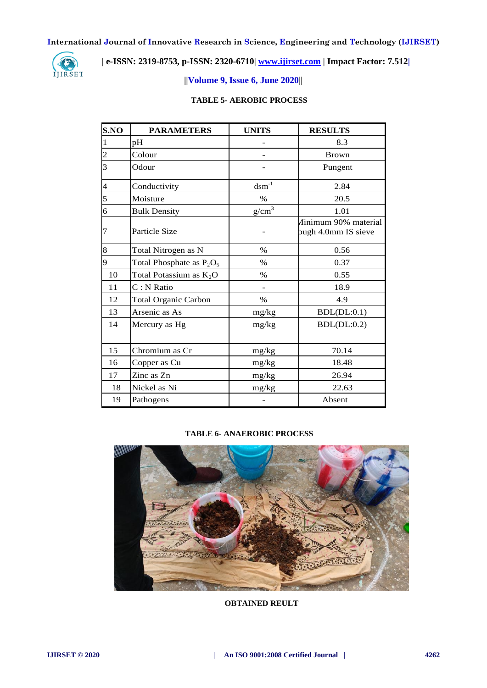

# **| e-ISSN: 2319-8753, p-ISSN: 2320-6710[| www.ijirset.com](http://www.ijirset.com/) | Impact Factor: 7.512|**

## **||Volume 9, Issue 6, June 2020||**

## **TABLE 5- AEROBIC PROCESS**

| S.NO                     | <b>PARAMETERS</b>           | <b>UNITS</b>               | <b>RESULTS</b>                              |
|--------------------------|-----------------------------|----------------------------|---------------------------------------------|
| $\mathbf{1}$             | pH                          |                            | 8.3                                         |
| $\overline{c}$           | Colour                      |                            | <b>Brown</b>                                |
| $\overline{3}$           | Odour                       |                            | Pungent                                     |
| $\overline{\mathcal{A}}$ | Conductivity                | $\mathrm{dsm}^{\text{-}1}$ | 2.84                                        |
| $\overline{5}$           | Moisture                    | $\%$                       | 20.5                                        |
| $\overline{6}$           | <b>Bulk Density</b>         | $g/cm^3$                   | 1.01                                        |
| $\overline{7}$           | Particle Size               |                            | Ainimum 90% material<br>ough 4.0mm IS sieve |
| 8                        | Total Nitrogen as N         | $\%$                       | 0.56                                        |
| 9                        | Total Phosphate as $P_2O_5$ | $\%$                       | 0.37                                        |
| 10                       | Total Potassium as $K_2O$   | $\%$                       | 0.55                                        |
| 11                       | C: N Ratio                  |                            | 18.9                                        |
| 12                       | <b>Total Organic Carbon</b> | $\frac{0}{0}$              | 4.9                                         |
| 13                       | Arsenic as As               | $mg/kg$                    | BDL(DL:0.1)                                 |
| 14                       | Mercury as Hg               | mg/kg                      | BDL(DL:0.2)                                 |
| 15                       | Chromium as Cr              | mg/kg                      | 70.14                                       |
| 16                       | Copper as Cu                | mg/kg                      | 18.48                                       |
| 17                       | Zinc as Zn                  | mg/kg                      | 26.94                                       |
| 18                       | Nickel as Ni                | mg/kg                      | 22.63                                       |
| 19                       | Pathogens                   |                            | Absent                                      |

#### **TABLE 6- ANAEROBIC PROCESS**



**OBTAINED REULT**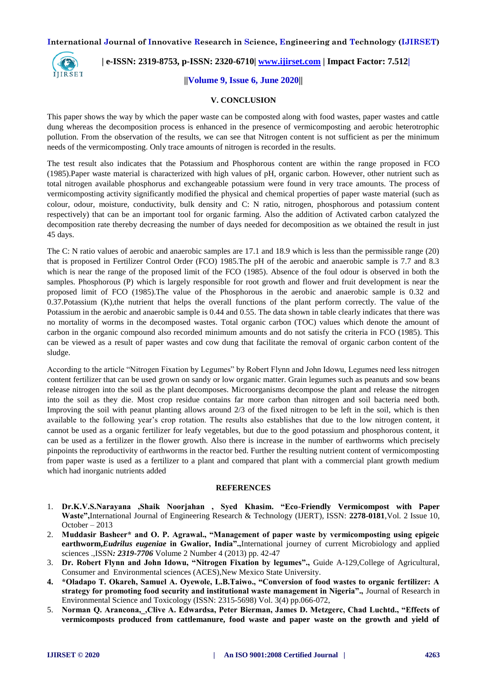

## **| e-ISSN: 2319-8753, p-ISSN: 2320-6710[| www.ijirset.com](http://www.ijirset.com/) | Impact Factor: 7.512|**

#### **||Volume 9, Issue 6, June 2020||**

#### **V. CONCLUSION**

This paper shows the way by which the paper waste can be composted along with food wastes, paper wastes and cattle dung whereas the decomposition process is enhanced in the presence of vermicomposting and aerobic heterotrophic pollution. From the observation of the results, we can see that Nitrogen content is not sufficient as per the minimum needs of the vermicomposting. Only trace amounts of nitrogen is recorded in the results.

The test result also indicates that the Potassium and Phosphorous content are within the range proposed in FCO (1985).Paper waste material is characterized with high values of pH, organic carbon. However, other nutrient such as total nitrogen available phosphorus and exchangeable potassium were found in very trace amounts. The process of vermicomposting activity significantly modified the physical and chemical properties of paper waste material (such as colour, odour, moisture, conductivity, bulk density and C: N ratio, nitrogen, phosphorous and potassium content respectively) that can be an important tool for organic farming. Also the addition of Activated carbon catalyzed the decomposition rate thereby decreasing the number of days needed for decomposition as we obtained the result in just 45 days.

The C: N ratio values of aerobic and anaerobic samples are 17.1 and 18.9 which is less than the permissible range (20) that is proposed in Fertilizer Control Order (FCO) 1985.The pH of the aerobic and anaerobic sample is 7.7 and 8.3 which is near the range of the proposed limit of the FCO (1985). Absence of the foul odour is observed in both the samples. Phosphorous (P) which is largely responsible for root growth and flower and fruit development is near the proposed limit of FCO (1985).The value of the Phosphorous in the aerobic and anaerobic sample is 0.32 and 0.37.Potassium (K),the nutrient that helps the overall functions of the plant perform correctly. The value of the Potassium in the aerobic and anaerobic sample is 0.44 and 0.55. The data shown in table clearly indicates that there was no mortality of worms in the decomposed wastes. Total organic carbon (TOC) values which denote the amount of carbon in the organic compound also recorded minimum amounts and do not satisfy the criteria in FCO (1985). This can be viewed as a result of paper wastes and cow dung that facilitate the removal of organic carbon content of the sludge.

According to the article "Nitrogen Fixation by Legumes" by Robert Flynn and John Idowu, Legumes need less nitrogen content fertilizer that can be used grown on sandy or low organic matter. Grain legumes such as peanuts and sow beans release nitrogen into the soil as the plant decomposes. Microorganisms decompose the plant and release the nitrogen into the soil as they die. Most crop residue contains far more carbon than nitrogen and soil bacteria need both. Improving the soil with peanut planting allows around 2/3 of the fixed nitrogen to be left in the soil, which is then available to the following year's crop rotation. The results also establishes that due to the low nitrogen content, it cannot be used as a organic fertilizer for leafy vegetables, but due to the good potassium and phosphorous content, it can be used as a fertilizer in the flower growth. Also there is increase in the number of earthworms which precisely pinpoints the reproductivity of earthworms in the reactor bed. Further the resulting nutrient content of vermicomposting from paper waste is used as a fertilizer to a plant and compared that plant with a commercial plant growth medium which had inorganic nutrients added

#### **REFERENCES**

- 1. **Dr.K.V.S.Narayana ,Shaik Noorjahan , Syed Khasim. "Eco-Friendly Vermicompost with Paper Waste",**International Journal of Engineering Research & Technology (IJERT), ISSN: **2278-0181**,Vol. 2 Issue 10, October – 2013
- 2. **Muddasir Basheer\* and O. P. Agrawal., "Management of paper waste by vermicomposting using epigeic earthworm,***Eudrilus eugeniae* **in Gwalior, India".,**International journey of current Microbiology and applied sciences .,ISSN*: 2319-7706* Volume 2 Number 4 (2013) pp. 42-47
- 3. **Dr. Robert Flynn and John Idowu, "Nitrogen Fixation by legumes".,** Guide A-129,College of Agricultural, Consumer and Environmental sciences (ACES),New Mexico State University.
- **4. \*Oladapo T. Okareh, Samuel A. Oyewole, L.B.Taiwo., "Conversion of food wastes to organic fertilizer: A strategy for promoting food security and institutional waste management in Nigeria".,** Journal of Research in Environmental Science and Toxicology (ISSN: 2315-5698) Vol. 3(4) pp.066-072,
- 5. **Norman Q. Arancona,\_,Clive A. Edwardsa, Peter Bierman, James D. Metzgerc, Chad Luchtd., "Effects of vermicomposts produced from cattlemanure, food waste and paper waste on the growth and yield of**